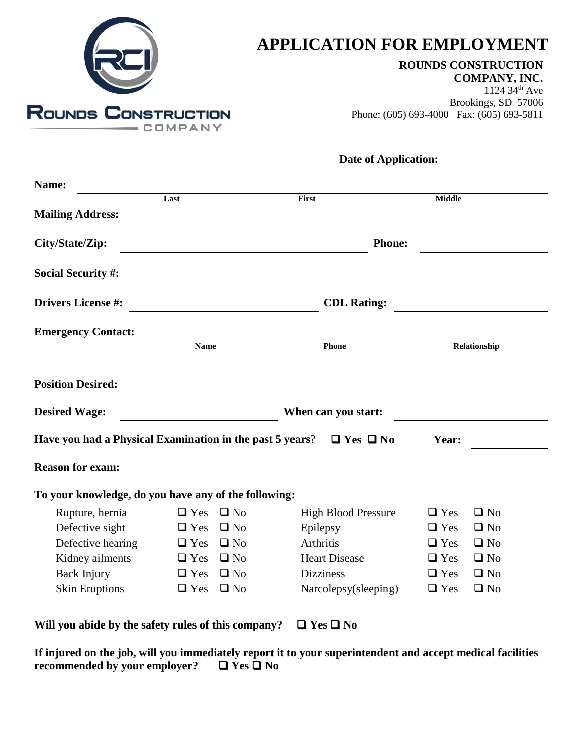

## **APPLICATION FOR EMPLOYMENT**

## **ROUNDS CONSTRUCTION**

**COMPANY, INC.**

 $1124 \overline{34}^{th}$  Ave Brookings, SD 57006 Phone: (605) 693-4000 Fax: (605) 693-5811

**Date of Application:**

|                                                                                                                                                           | Last                                                                                                                 |              | First                                                                         | <b>Middle</b>              |
|-----------------------------------------------------------------------------------------------------------------------------------------------------------|----------------------------------------------------------------------------------------------------------------------|--------------|-------------------------------------------------------------------------------|----------------------------|
| <b>Mailing Address:</b>                                                                                                                                   |                                                                                                                      |              |                                                                               |                            |
| City/State/Zip:                                                                                                                                           | <b>Phone:</b>                                                                                                        |              |                                                                               |                            |
| <b>Social Security #:</b>                                                                                                                                 | <u> 1989 - Johann Barn, mars eta bat erroman erroman erroman erroman erroman erroman erroman erroman erroman err</u> |              |                                                                               |                            |
| <b>Drivers License #:</b>                                                                                                                                 |                                                                                                                      |              | <b>CDL Rating:</b>                                                            |                            |
| <b>Emergency Contact:</b>                                                                                                                                 |                                                                                                                      | Name         |                                                                               |                            |
|                                                                                                                                                           |                                                                                                                      |              | Phone                                                                         | Relationship               |
|                                                                                                                                                           |                                                                                                                      |              |                                                                               |                            |
|                                                                                                                                                           |                                                                                                                      |              |                                                                               |                            |
|                                                                                                                                                           |                                                                                                                      |              | When can you start:                                                           |                            |
|                                                                                                                                                           |                                                                                                                      |              | Have you had a Physical Examination in the past 5 years? $\Box$ Yes $\Box$ No | Year:                      |
|                                                                                                                                                           |                                                                                                                      |              |                                                                               |                            |
|                                                                                                                                                           |                                                                                                                      |              |                                                                               |                            |
| Rupture, hernia                                                                                                                                           | $\Box$ Yes                                                                                                           | $\square$ No | <b>High Blood Pressure</b>                                                    | $\Box$ No<br>$\Box$ Yes    |
| Defective sight                                                                                                                                           | $\Box$ Yes                                                                                                           | $\Box$ No    | Epilepsy                                                                      | $\Box$ No<br>$\Box$ Yes    |
| Defective hearing                                                                                                                                         | $\Box$ Yes                                                                                                           | $\Box$ No    | Arthritis                                                                     | $\square$ No<br>$\Box$ Yes |
| Kidney ailments                                                                                                                                           | $\Box$ Yes                                                                                                           | $\Box$ No    | <b>Heart Disease</b>                                                          | $\Box$ No<br>$\Box$ Yes    |
| <b>Position Desired:</b><br><b>Desired Wage:</b><br><b>Reason for exam:</b><br>To your knowledge, do you have any of the following:<br><b>Back Injury</b> | $\Box$ Yes                                                                                                           | $\Box$ No    | <b>Dizziness</b>                                                              | $\Box$ No<br>$\Box$ Yes    |

**If injured on the job, will you immediately report it to your superintendent and accept medical facilities recommended by your employer?**  $\Box$  Yes  $\Box$  No **recommended by your employer?**